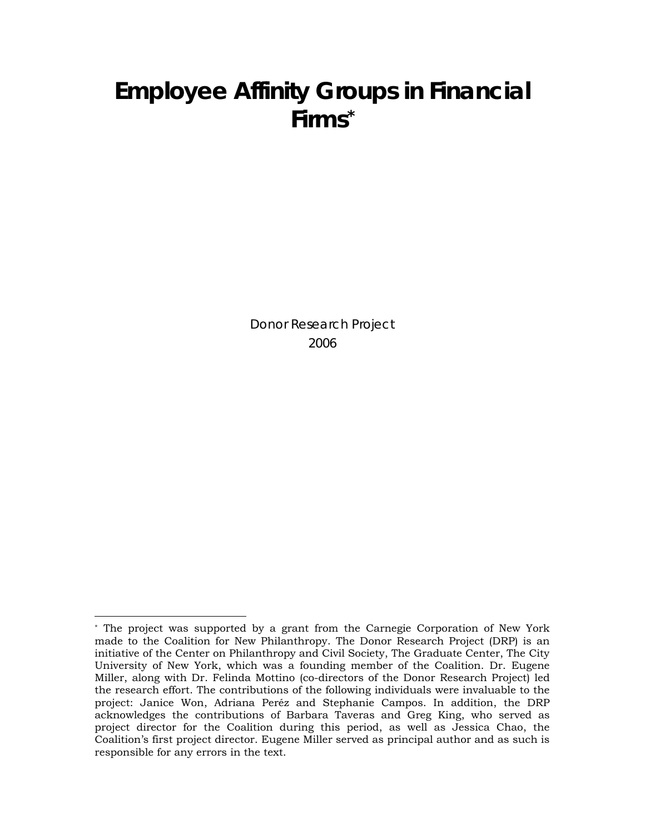## **Employee Affinity Groups in Financial Firms[\\*](#page-0-0)**

Donor Research Project 2006

 $\overline{a}$ 

<span id="page-0-0"></span><sup>\*</sup> The project was supported by a grant from the Carnegie Corporation of New York made to the Coalition for New Philanthropy. The Donor Research Project (DRP) is an initiative of the Center on Philanthropy and Civil Society, The Graduate Center, The City University of New York, which was a founding member of the Coalition. Dr. Eugene Miller, along with Dr. Felinda Mottino (co-directors of the Donor Research Project) led the research effort. The contributions of the following individuals were invaluable to the project: Janice Won, Adriana Peréz and Stephanie Campos. In addition, the DRP acknowledges the contributions of Barbara Taveras and Greg King, who served as project director for the Coalition during this period, as well as Jessica Chao, the Coalition's first project director. Eugene Miller served as principal author and as such is responsible for any errors in the text.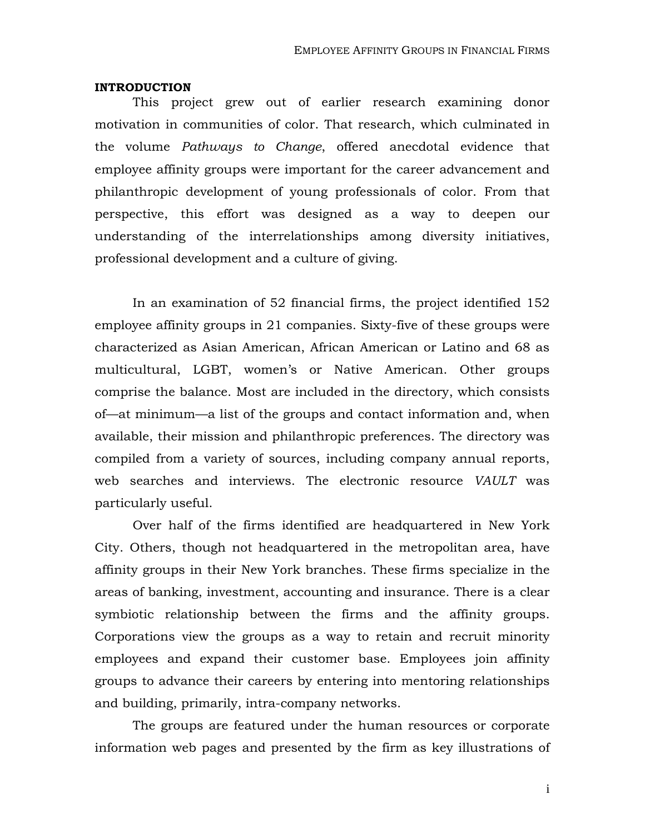#### **INTRODUCTION**

This project grew out of earlier research examining donor motivation in communities of color. That research, which culminated in the volume *Pathways to Change*, offered anecdotal evidence that employee affinity groups were important for the career advancement and philanthropic development of young professionals of color. From that perspective, this effort was designed as a way to deepen our understanding of the interrelationships among diversity initiatives, professional development and a culture of giving.

In an examination of 52 financial firms, the project identified 152 employee affinity groups in 21 companies. Sixty-five of these groups were characterized as Asian American, African American or Latino and 68 as multicultural, LGBT, women's or Native American. Other groups comprise the balance. Most are included in the directory, which consists of—at minimum—a list of the groups and contact information and, when available, their mission and philanthropic preferences. The directory was compiled from a variety of sources, including company annual reports, web searches and interviews. The electronic resource *VAULT* was particularly useful.

 Over half of the firms identified are headquartered in New York City. Others, though not headquartered in the metropolitan area, have affinity groups in their New York branches. These firms specialize in the areas of banking, investment, accounting and insurance. There is a clear symbiotic relationship between the firms and the affinity groups. Corporations view the groups as a way to retain and recruit minority employees and expand their customer base. Employees join affinity groups to advance their careers by entering into mentoring relationships and building, primarily, intra-company networks.

The groups are featured under the human resources or corporate information web pages and presented by the firm as key illustrations of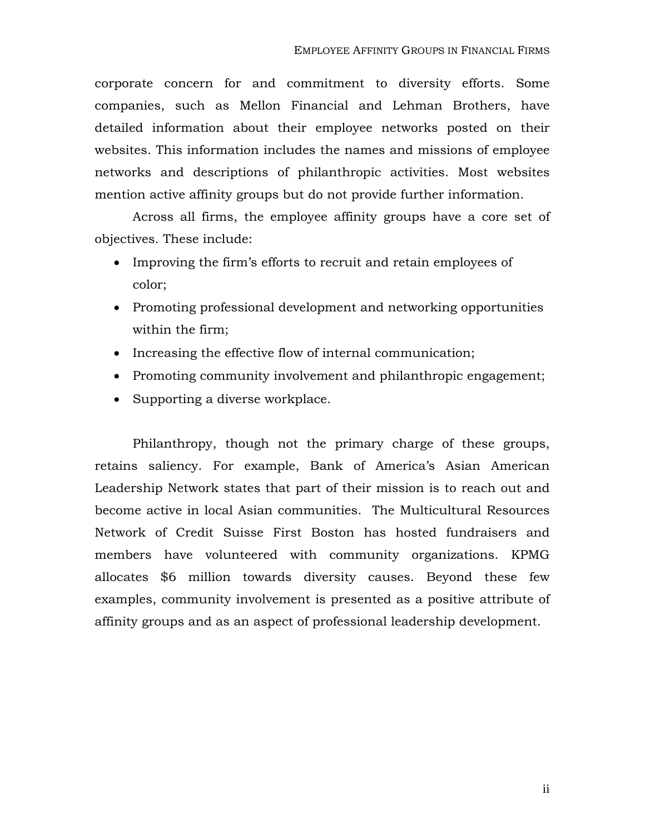corporate concern for and commitment to diversity efforts. Some companies, such as Mellon Financial and Lehman Brothers, have detailed information about their employee networks posted on their websites. This information includes the names and missions of employee networks and descriptions of philanthropic activities. Most websites mention active affinity groups but do not provide further information.

Across all firms, the employee affinity groups have a core set of objectives. These include:

- Improving the firm's efforts to recruit and retain employees of color;
- Promoting professional development and networking opportunities within the firm;
- Increasing the effective flow of internal communication;
- Promoting community involvement and philanthropic engagement;
- Supporting a diverse workplace.

Philanthropy, though not the primary charge of these groups, retains saliency. For example, Bank of America's Asian American Leadership Network states that part of their mission is to reach out and become active in local Asian communities. The Multicultural Resources Network of Credit Suisse First Boston has hosted fundraisers and members have volunteered with community organizations. KPMG allocates \$6 million towards diversity causes. Beyond these few examples, community involvement is presented as a positive attribute of affinity groups and as an aspect of professional leadership development.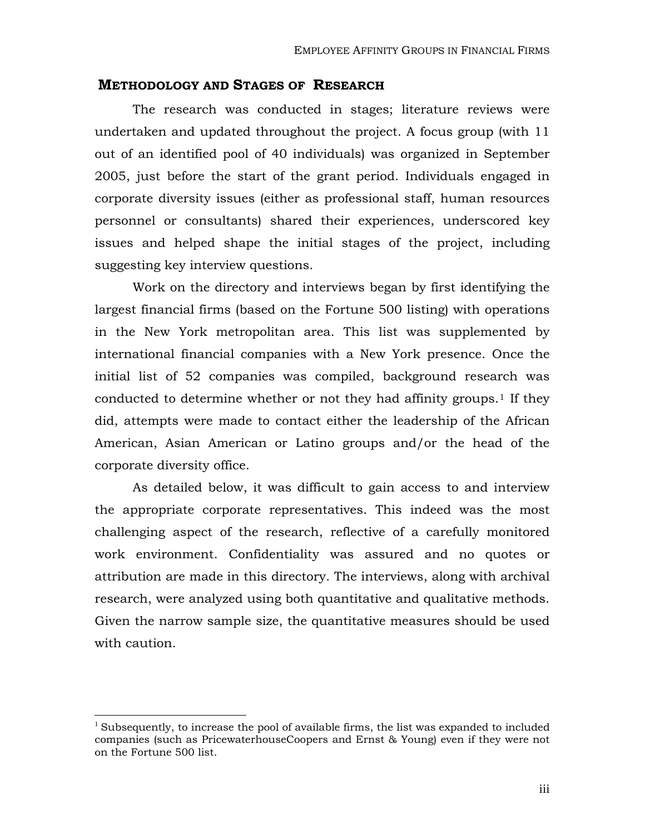## **METHODOLOGY AND STAGES OF RESEARCH**

 The research was conducted in stages; literature reviews were undertaken and updated throughout the project. A focus group (with 11 out of an identified pool of 40 individuals) was organized in September 2005, just before the start of the grant period. Individuals engaged in corporate diversity issues (either as professional staff, human resources personnel or consultants) shared their experiences, underscored key issues and helped shape the initial stages of the project, including suggesting key interview questions.

 Work on the directory and interviews began by first identifying the largest financial firms (based on the Fortune 500 listing) with operations in the New York metropolitan area. This list was supplemented by international financial companies with a New York presence. Once the initial list of 52 companies was compiled, background research was conducted to determine whether or not they had affinity groups.<sup>[1](#page-3-0)</sup> If they did, attempts were made to contact either the leadership of the African American, Asian American or Latino groups and/or the head of the corporate diversity office.

 As detailed below, it was difficult to gain access to and interview the appropriate corporate representatives. This indeed was the most challenging aspect of the research, reflective of a carefully monitored work environment. Confidentiality was assured and no quotes or attribution are made in this directory. The interviews, along with archival research, were analyzed using both quantitative and qualitative methods. Given the narrow sample size, the quantitative measures should be used with caution.

 $\overline{a}$ 

<span id="page-3-0"></span><sup>&</sup>lt;sup>1</sup> Subsequently, to increase the pool of available firms, the list was expanded to included companies (such as PricewaterhouseCoopers and Ernst & Young) even if they were not on the Fortune 500 list.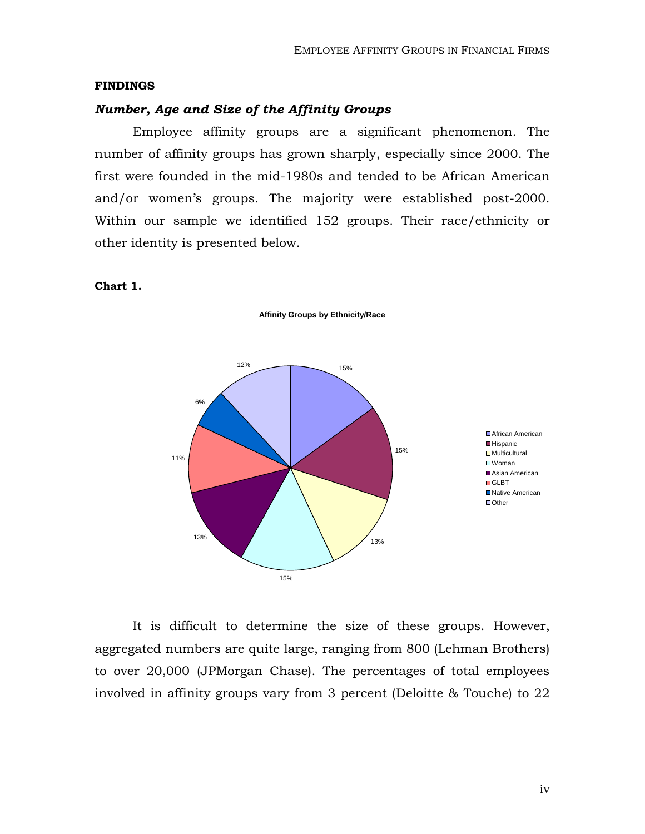#### **FINDINGS**

#### *Number, Age and Size of the Affinity Groups*

 Employee affinity groups are a significant phenomenon. The number of affinity groups has grown sharply, especially since 2000. The first were founded in the mid-1980s and tended to be African American and/or women's groups. The majority were established post-2000. Within our sample we identified 152 groups. Their race/ethnicity or other identity is presented below.

**Affinity Groups by Ethnicity/Race**

#### **Chart 1.**

15% 15% 13% 15% 13% 11% 6% 12% African American **Hispanic** Multicultural □Woman Asian American **D**GLBT Native American ■Other

 It is difficult to determine the size of these groups. However, aggregated numbers are quite large, ranging from 800 (Lehman Brothers) to over 20,000 (JPMorgan Chase). The percentages of total employees involved in affinity groups vary from 3 percent (Deloitte & Touche) to 22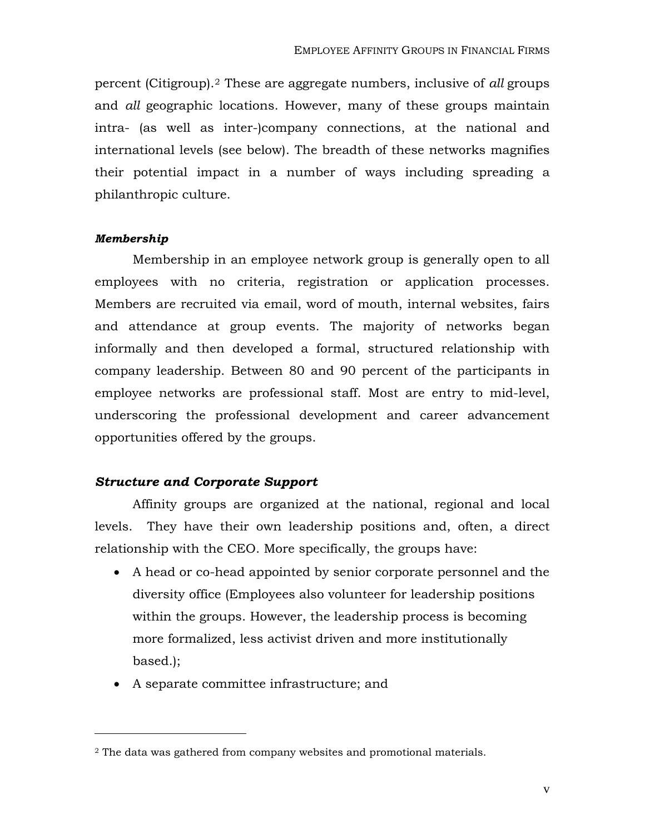percent (Citigroup).[2](#page-5-0) These are aggregate numbers, inclusive of *all* groups and *all* geographic locations. However, many of these groups maintain intra- (as well as inter-)company connections, at the national and international levels (see below). The breadth of these networks magnifies their potential impact in a number of ways including spreading a philanthropic culture.

#### *Membership*

 $\overline{a}$ 

 Membership in an employee network group is generally open to all employees with no criteria, registration or application processes. Members are recruited via email, word of mouth, internal websites, fairs and attendance at group events. The majority of networks began informally and then developed a formal, structured relationship with company leadership. Between 80 and 90 percent of the participants in employee networks are professional staff. Most are entry to mid-level, underscoring the professional development and career advancement opportunities offered by the groups.

## *Structure and Corporate Support*

 Affinity groups are organized at the national, regional and local levels. They have their own leadership positions and, often, a direct relationship with the CEO. More specifically, the groups have:

- A head or co-head appointed by senior corporate personnel and the diversity office (Employees also volunteer for leadership positions within the groups. However, the leadership process is becoming more formalized, less activist driven and more institutionally based.);
- A separate committee infrastructure; and

<span id="page-5-0"></span><sup>&</sup>lt;sup>2</sup> The data was gathered from company websites and promotional materials.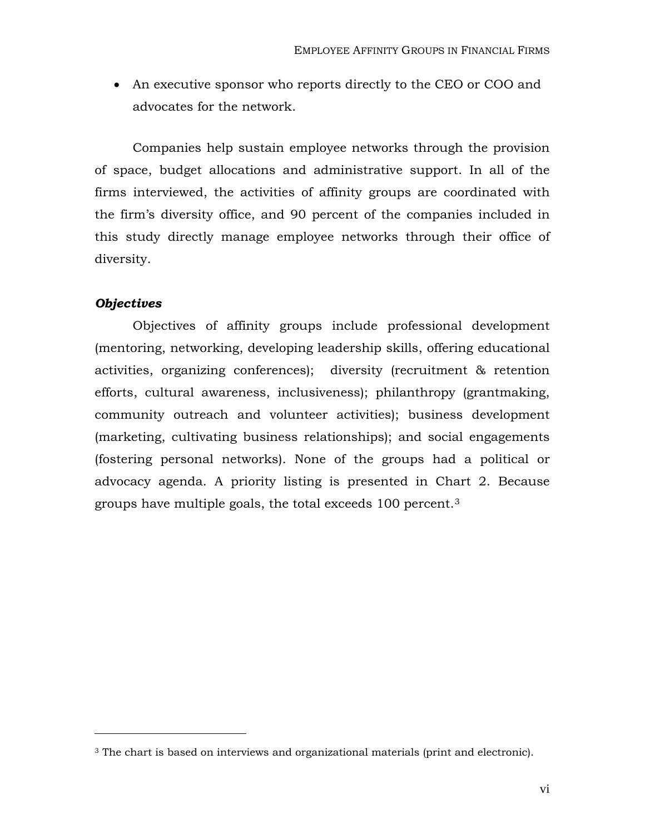• An executive sponsor who reports directly to the CEO or COO and advocates for the network.

 Companies help sustain employee networks through the provision of space, budget allocations and administrative support. In all of the firms interviewed, the activities of affinity groups are coordinated with the firm's diversity office, and 90 percent of the companies included in this study directly manage employee networks through their office of diversity.

#### *Objectives*

 $\overline{a}$ 

 Objectives of affinity groups include professional development (mentoring, networking, developing leadership skills, offering educational activities, organizing conferences); diversity (recruitment & retention efforts, cultural awareness, inclusiveness); philanthropy (grantmaking, community outreach and volunteer activities); business development (marketing, cultivating business relationships); and social engagements (fostering personal networks). None of the groups had a political or advocacy agenda. A priority listing is presented in Chart 2. Because groups have multiple goals, the total exceeds 100 percent.[3](#page-6-0)

<span id="page-6-0"></span><sup>&</sup>lt;sup>3</sup> The chart is based on interviews and organizational materials (print and electronic).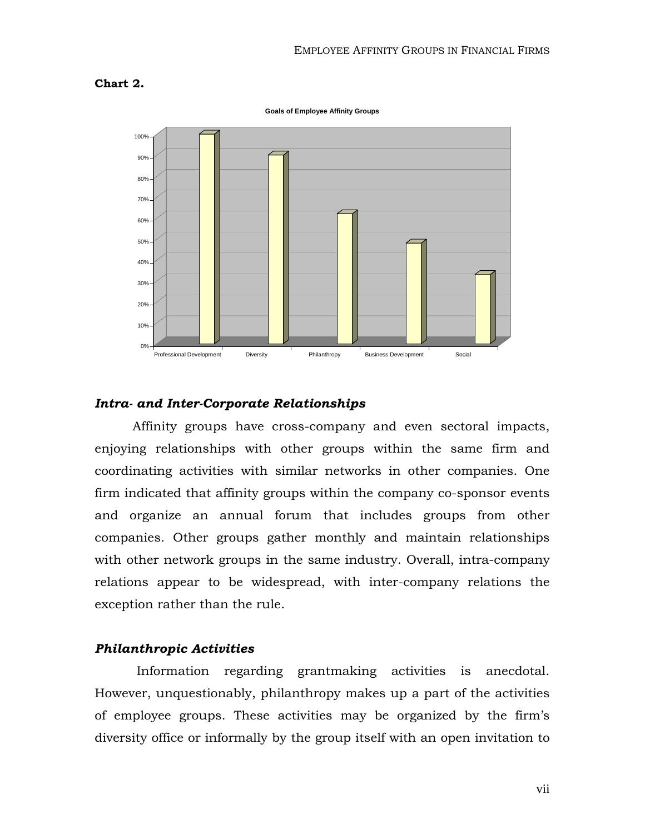#### **Chart 2.**

**Goals of Employee Affinity Groups**



#### *Intra- and Inter-Corporate Relationships*

 Affinity groups have cross-company and even sectoral impacts, enjoying relationships with other groups within the same firm and coordinating activities with similar networks in other companies. One firm indicated that affinity groups within the company co-sponsor events and organize an annual forum that includes groups from other companies. Other groups gather monthly and maintain relationships with other network groups in the same industry. Overall, intra-company relations appear to be widespread, with inter-company relations the exception rather than the rule.

## *Philanthropic Activities*

 Information regarding grantmaking activities is anecdotal. However, unquestionably, philanthropy makes up a part of the activities of employee groups. These activities may be organized by the firm's diversity office or informally by the group itself with an open invitation to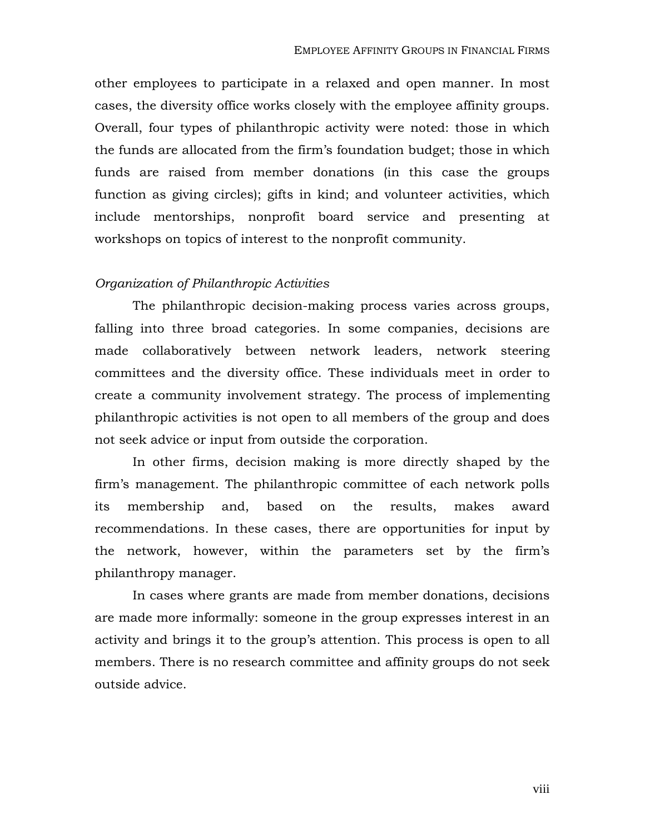other employees to participate in a relaxed and open manner. In most cases, the diversity office works closely with the employee affinity groups. Overall, four types of philanthropic activity were noted: those in which the funds are allocated from the firm's foundation budget; those in which funds are raised from member donations (in this case the groups function as giving circles); gifts in kind; and volunteer activities, which include mentorships, nonprofit board service and presenting at workshops on topics of interest to the nonprofit community.

## *Organization of Philanthropic Activities*

The philanthropic decision-making process varies across groups, falling into three broad categories. In some companies, decisions are made collaboratively between network leaders, network steering committees and the diversity office. These individuals meet in order to create a community involvement strategy. The process of implementing philanthropic activities is not open to all members of the group and does not seek advice or input from outside the corporation.

 In other firms, decision making is more directly shaped by the firm's management. The philanthropic committee of each network polls its membership and, based on the results, makes award recommendations. In these cases, there are opportunities for input by the network, however, within the parameters set by the firm's philanthropy manager.

 In cases where grants are made from member donations, decisions are made more informally: someone in the group expresses interest in an activity and brings it to the group's attention. This process is open to all members. There is no research committee and affinity groups do not seek outside advice.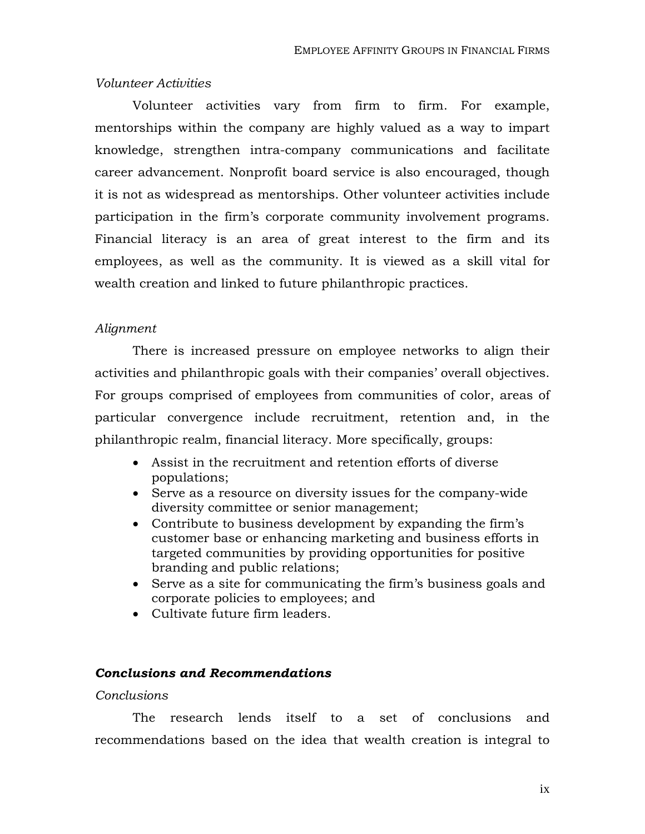## *Volunteer Activities*

 Volunteer activities vary from firm to firm. For example, mentorships within the company are highly valued as a way to impart knowledge, strengthen intra-company communications and facilitate career advancement. Nonprofit board service is also encouraged, though it is not as widespread as mentorships. Other volunteer activities include participation in the firm's corporate community involvement programs. Financial literacy is an area of great interest to the firm and its employees, as well as the community. It is viewed as a skill vital for wealth creation and linked to future philanthropic practices.

#### *Alignment*

 There is increased pressure on employee networks to align their activities and philanthropic goals with their companies' overall objectives. For groups comprised of employees from communities of color, areas of particular convergence include recruitment, retention and, in the philanthropic realm, financial literacy. More specifically, groups:

- Assist in the recruitment and retention efforts of diverse populations;
- Serve as a resource on diversity issues for the company-wide diversity committee or senior management;
- Contribute to business development by expanding the firm's customer base or enhancing marketing and business efforts in targeted communities by providing opportunities for positive branding and public relations;
- Serve as a site for communicating the firm's business goals and corporate policies to employees; and
- Cultivate future firm leaders.

## *Conclusions and Recommendations*

## *Conclusions*

The research lends itself to a set of conclusions and recommendations based on the idea that wealth creation is integral to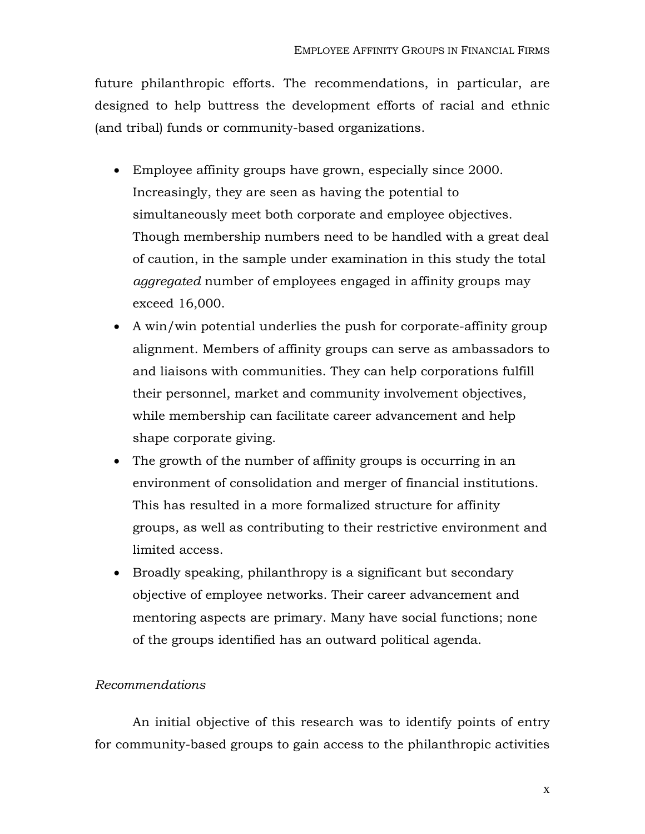future philanthropic efforts. The recommendations, in particular, are designed to help buttress the development efforts of racial and ethnic (and tribal) funds or community-based organizations.

- Employee affinity groups have grown, especially since 2000. Increasingly, they are seen as having the potential to simultaneously meet both corporate and employee objectives. Though membership numbers need to be handled with a great deal of caution, in the sample under examination in this study the total *aggregated* number of employees engaged in affinity groups may exceed 16,000.
- A win/win potential underlies the push for corporate-affinity group alignment. Members of affinity groups can serve as ambassadors to and liaisons with communities. They can help corporations fulfill their personnel, market and community involvement objectives, while membership can facilitate career advancement and help shape corporate giving.
- The growth of the number of affinity groups is occurring in an environment of consolidation and merger of financial institutions. This has resulted in a more formalized structure for affinity groups, as well as contributing to their restrictive environment and limited access.
- Broadly speaking, philanthropy is a significant but secondary objective of employee networks. Their career advancement and mentoring aspects are primary. Many have social functions; none of the groups identified has an outward political agenda.

## *Recommendations*

 An initial objective of this research was to identify points of entry for community-based groups to gain access to the philanthropic activities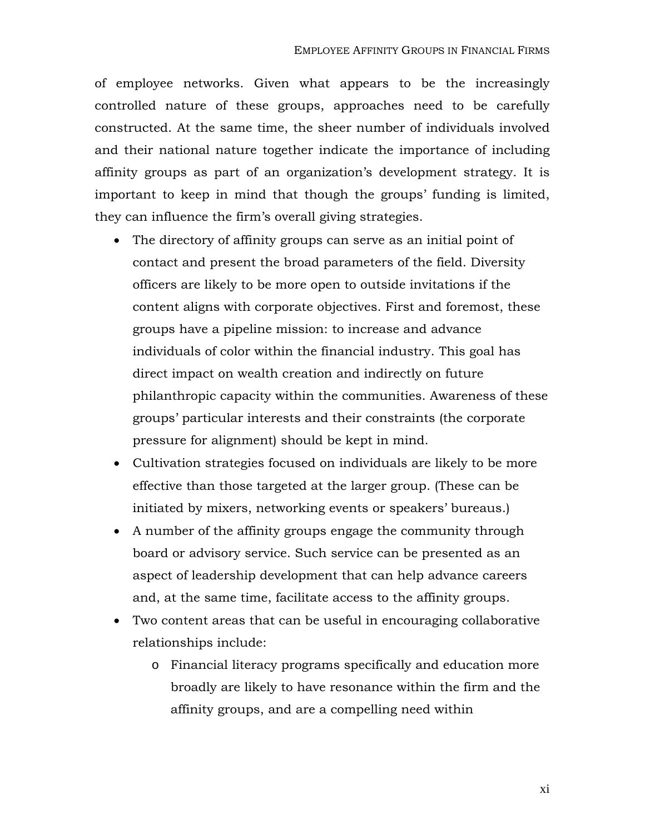of employee networks. Given what appears to be the increasingly controlled nature of these groups, approaches need to be carefully constructed. At the same time, the sheer number of individuals involved and their national nature together indicate the importance of including affinity groups as part of an organization's development strategy. It is important to keep in mind that though the groups' funding is limited, they can influence the firm's overall giving strategies.

- The directory of affinity groups can serve as an initial point of contact and present the broad parameters of the field. Diversity officers are likely to be more open to outside invitations if the content aligns with corporate objectives. First and foremost, these groups have a pipeline mission: to increase and advance individuals of color within the financial industry. This goal has direct impact on wealth creation and indirectly on future philanthropic capacity within the communities. Awareness of these groups' particular interests and their constraints (the corporate pressure for alignment) should be kept in mind.
- Cultivation strategies focused on individuals are likely to be more effective than those targeted at the larger group. (These can be initiated by mixers, networking events or speakers' bureaus.)
- A number of the affinity groups engage the community through board or advisory service. Such service can be presented as an aspect of leadership development that can help advance careers and, at the same time, facilitate access to the affinity groups.
- Two content areas that can be useful in encouraging collaborative relationships include:
	- o Financial literacy programs specifically and education more broadly are likely to have resonance within the firm and the affinity groups, and are a compelling need within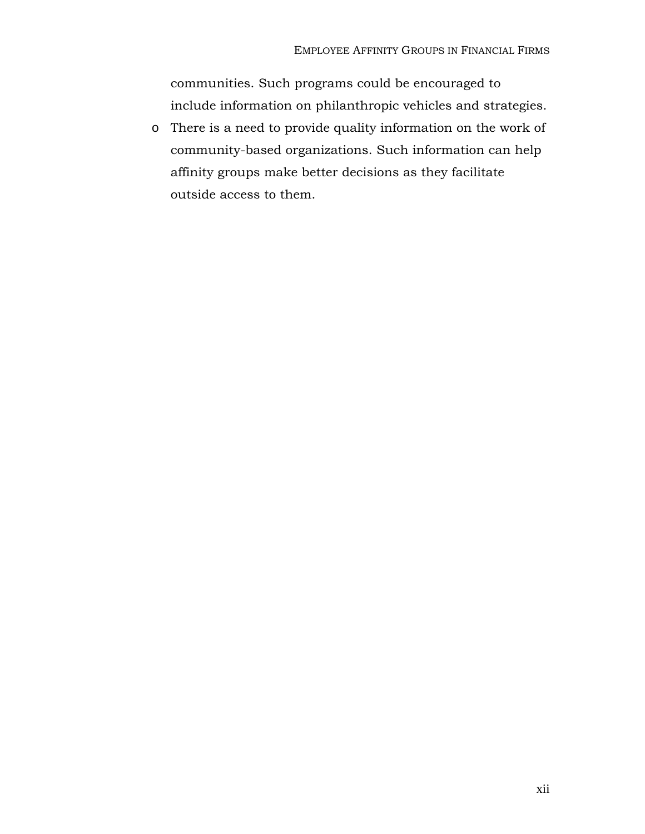communities. Such programs could be encouraged to include information on philanthropic vehicles and strategies.

o There is a need to provide quality information on the work of community-based organizations. Such information can help affinity groups make better decisions as they facilitate outside access to them.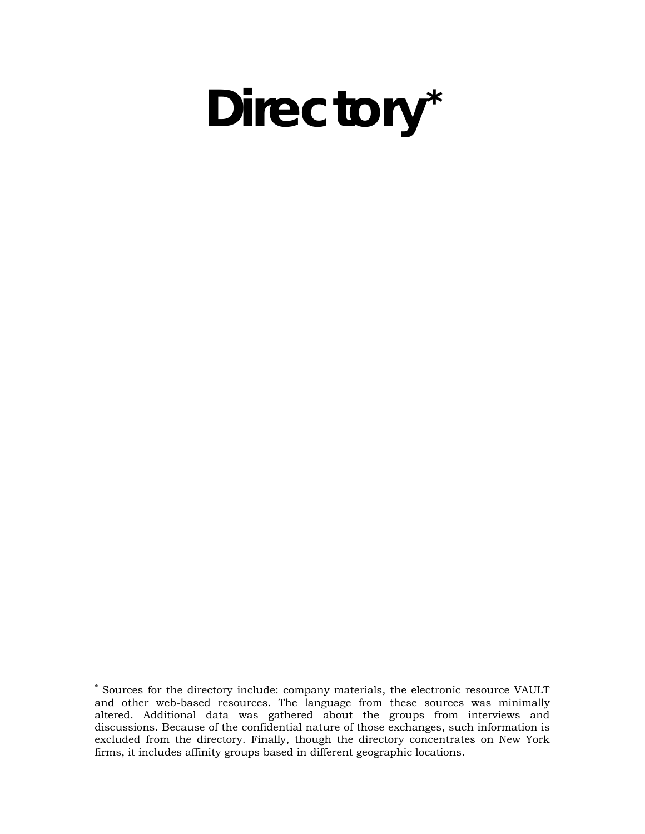# **Directory[\\*](#page-13-0)**

<u>.</u>

<span id="page-13-0"></span><sup>\*</sup> Sources for the directory include: company materials, the electronic resource VAULT and other web-based resources. The language from these sources was minimally altered. Additional data was gathered about the groups from interviews and discussions. Because of the confidential nature of those exchanges, such information is excluded from the directory. Finally, though the directory concentrates on New York firms, it includes affinity groups based in different geographic locations.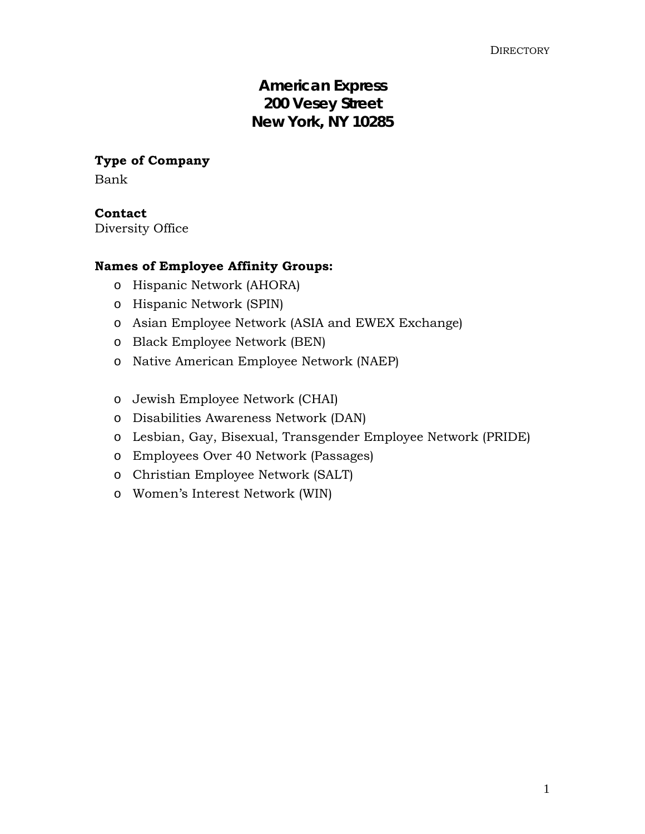## **American Express 200 Vesey Street New York, NY 10285**

**Type of Company** 

Bank

**Contact** 

Diversity Office

## **Names of Employee Affinity Groups:**

- o Hispanic Network (AHORA)
- o Hispanic Network (SPIN)
- o Asian Employee Network (ASIA and EWEX Exchange)
- o Black Employee Network (BEN)
- o Native American Employee Network (NAEP)
- o Jewish Employee Network (CHAI)
- o Disabilities Awareness Network (DAN)
- o Lesbian, Gay, Bisexual, Transgender Employee Network (PRIDE)
- o Employees Over 40 Network (Passages)
- o Christian Employee Network (SALT)
- o Women's Interest Network (WIN)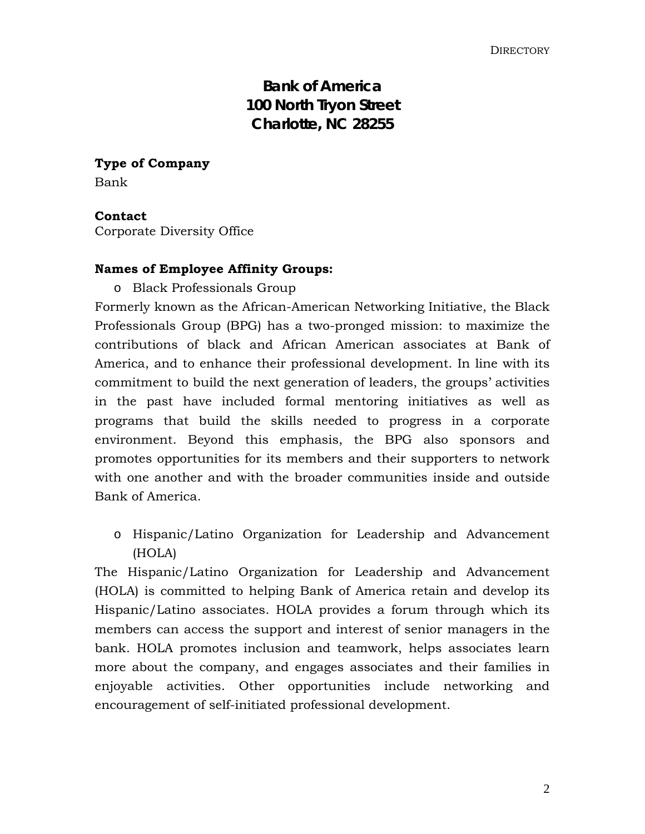## **Bank of America 100 North Tryon Street Charlotte, NC 28255**

**Type of Company**  Bank

## **Contact**

Corporate Diversity Office

## **Names of Employee Affinity Groups:**

o Black Professionals Group

Formerly known as the African-American Networking Initiative, the Black Professionals Group (BPG) has a two-pronged mission: to maximize the contributions of black and African American associates at Bank of America, and to enhance their professional development. In line with its commitment to build the next generation of leaders, the groups' activities in the past have included formal mentoring initiatives as well as programs that build the skills needed to progress in a corporate environment. Beyond this emphasis, the BPG also sponsors and promotes opportunities for its members and their supporters to network with one another and with the broader communities inside and outside Bank of America.

o Hispanic/Latino Organization for Leadership and Advancement (HOLA)

The Hispanic/Latino Organization for Leadership and Advancement (HOLA) is committed to helping Bank of America retain and develop its Hispanic/Latino associates. HOLA provides a forum through which its members can access the support and interest of senior managers in the bank. HOLA promotes inclusion and teamwork, helps associates learn more about the company, and engages associates and their families in enjoyable activities. Other opportunities include networking and encouragement of self-initiated professional development.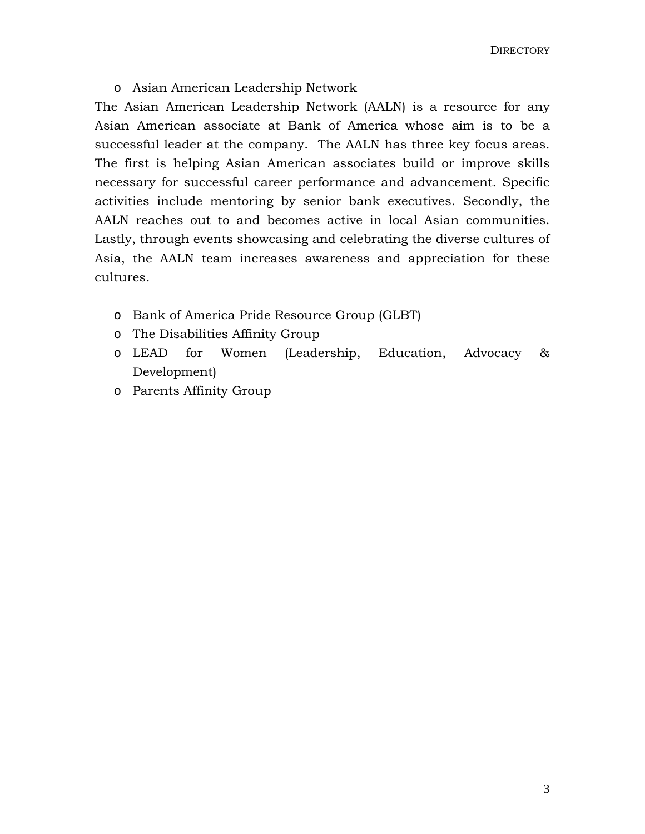o Asian American Leadership Network

The Asian American Leadership Network (AALN) is a resource for any Asian American associate at Bank of America whose aim is to be a successful leader at the company. The AALN has three key focus areas. The first is helping Asian American associates build or improve skills necessary for successful career performance and advancement. Specific activities include mentoring by senior bank executives. Secondly, the AALN reaches out to and becomes active in local Asian communities. Lastly, through events showcasing and celebrating the diverse cultures of Asia, the AALN team increases awareness and appreciation for these cultures.

- o Bank of America Pride Resource Group (GLBT)
- o The Disabilities Affinity Group
- o LEAD for Women (Leadership, Education, Advocacy & Development)
- o Parents Affinity Group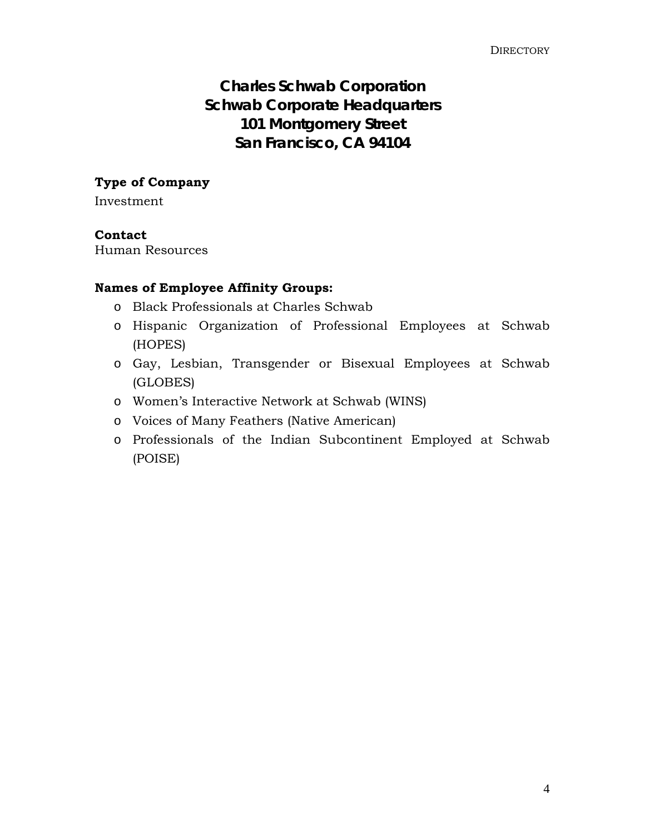## **Charles Schwab Corporation Schwab Corporate Headquarters 101 Montgomery Street San Francisco, CA 94104**

## **Type of Company**

Investment

## **Contact**

Human Resources

## **Names of Employee Affinity Groups:**

- o Black Professionals at Charles Schwab
- o Hispanic Organization of Professional Employees at Schwab (HOPES)
- o Gay, Lesbian, Transgender or Bisexual Employees at Schwab (GLOBES)
- o Women's Interactive Network at Schwab (WINS)
- o Voices of Many Feathers (Native American)
- o Professionals of the Indian Subcontinent Employed at Schwab (POISE)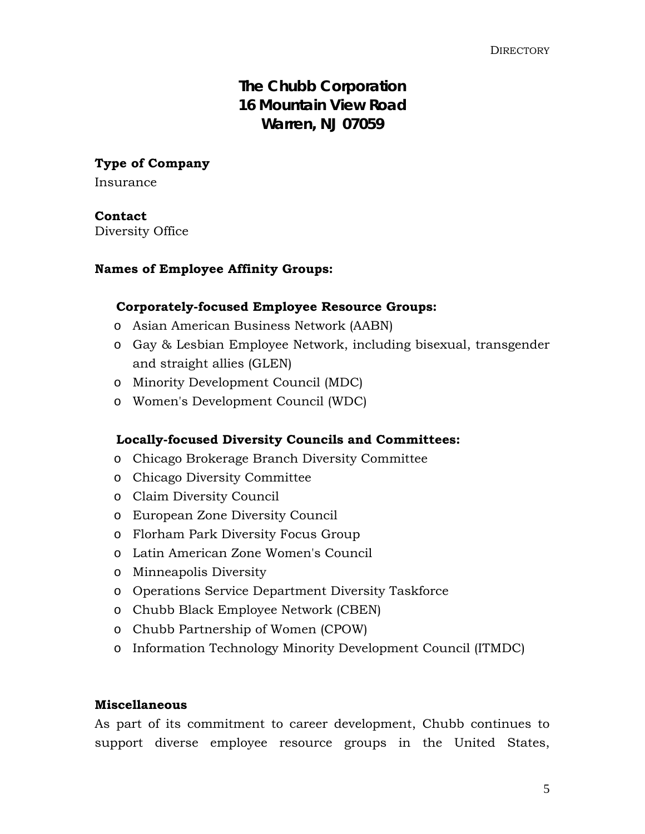## **The Chubb Corporation 16 Mountain View Road Warren, NJ 07059**

**Type of Company** 

Insurance

## **Contact**

Diversity Office

## **Names of Employee Affinity Groups:**

## **Corporately-focused Employee Resource Groups:**

- o Asian American Business Network (AABN)
- o Gay & Lesbian Employee Network, including bisexual, transgender and straight allies (GLEN)
- o Minority Development Council (MDC)
- o Women's Development Council (WDC)

## **Locally-focused Diversity Councils and Committees:**

- o Chicago Brokerage Branch Diversity Committee
- o Chicago Diversity Committee
- o Claim Diversity Council
- o European Zone Diversity Council
- o Florham Park Diversity Focus Group
- o Latin American Zone Women's Council
- o Minneapolis Diversity
- o Operations Service Department Diversity Taskforce
- o Chubb Black Employee Network (CBEN)
- o Chubb Partnership of Women (CPOW)
- o Information Technology Minority Development Council (ITMDC)

## **Miscellaneous**

As part of its commitment to career development, Chubb continues to support diverse employee resource groups in the United States,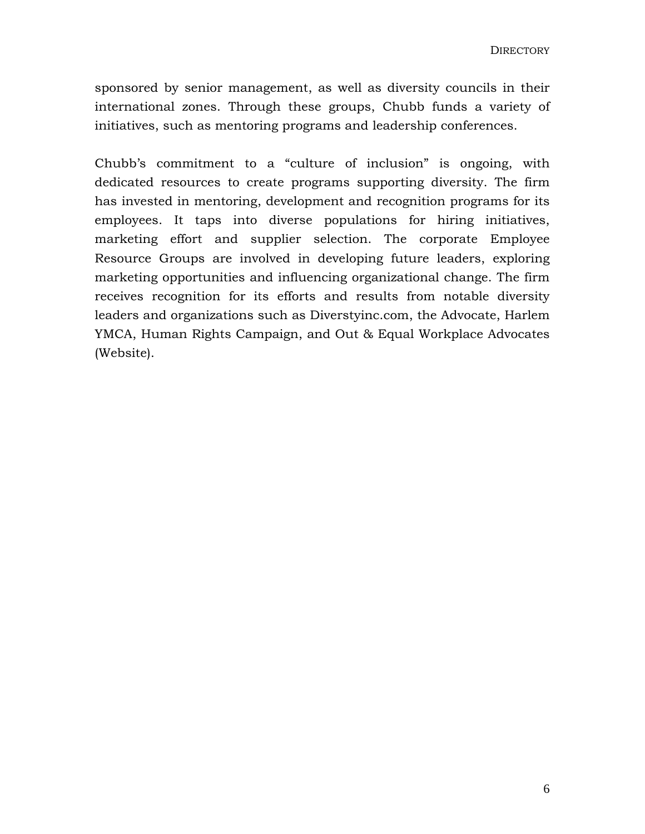sponsored by senior management, as well as diversity councils in their international zones. Through these groups, Chubb funds a variety of initiatives, such as mentoring programs and leadership conferences.

Chubb's commitment to a "culture of inclusion" is ongoing, with dedicated resources to create programs supporting diversity. The firm has invested in mentoring, development and recognition programs for its employees. It taps into diverse populations for hiring initiatives, marketing effort and supplier selection. The corporate Employee Resource Groups are involved in developing future leaders, exploring marketing opportunities and influencing organizational change. The firm receives recognition for its efforts and results from notable diversity leaders and organizations such as Diverstyinc.com, the Advocate, Harlem YMCA, Human Rights Campaign, and Out & Equal Workplace Advocates (Website).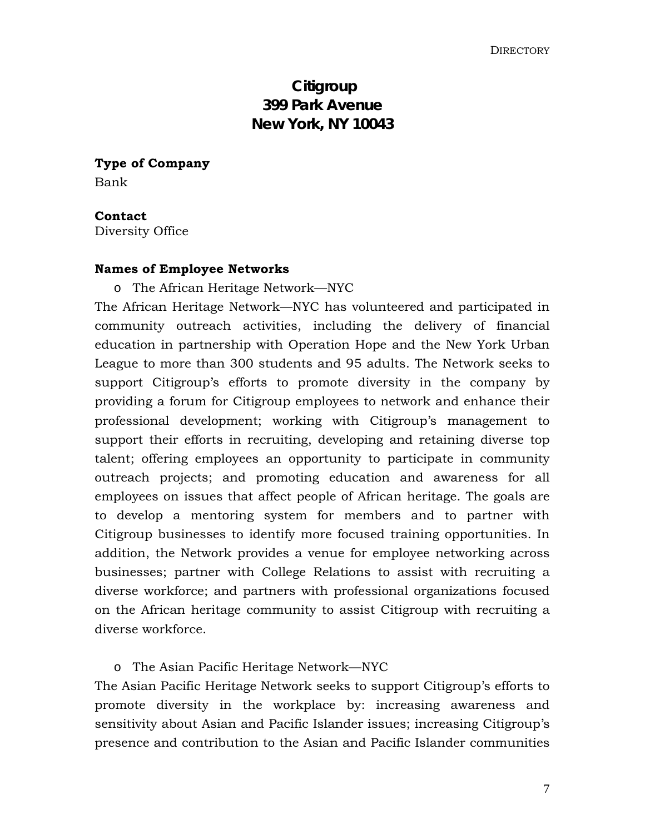## **Citigroup 399 Park Avenue New York, NY 10043**

**Type of Company**  Bank

**Contact** 

Diversity Office

## **Names of Employee Networks**

o The African Heritage Network—NYC

The African Heritage Network—NYC has volunteered and participated in community outreach activities, including the delivery of financial education in partnership with Operation Hope and the New York Urban League to more than 300 students and 95 adults. The Network seeks to support Citigroup's efforts to promote diversity in the company by providing a forum for Citigroup employees to network and enhance their professional development; working with Citigroup's management to support their efforts in recruiting, developing and retaining diverse top talent; offering employees an opportunity to participate in community outreach projects; and promoting education and awareness for all employees on issues that affect people of African heritage. The goals are to develop a mentoring system for members and to partner with Citigroup businesses to identify more focused training opportunities. In addition, the Network provides a venue for employee networking across businesses; partner with College Relations to assist with recruiting a diverse workforce; and partners with professional organizations focused on the African heritage community to assist Citigroup with recruiting a diverse workforce.

o The Asian Pacific Heritage Network—NYC

The Asian Pacific Heritage Network seeks to support Citigroup's efforts to promote diversity in the workplace by: increasing awareness and sensitivity about Asian and Pacific Islander issues; increasing Citigroup's presence and contribution to the Asian and Pacific Islander communities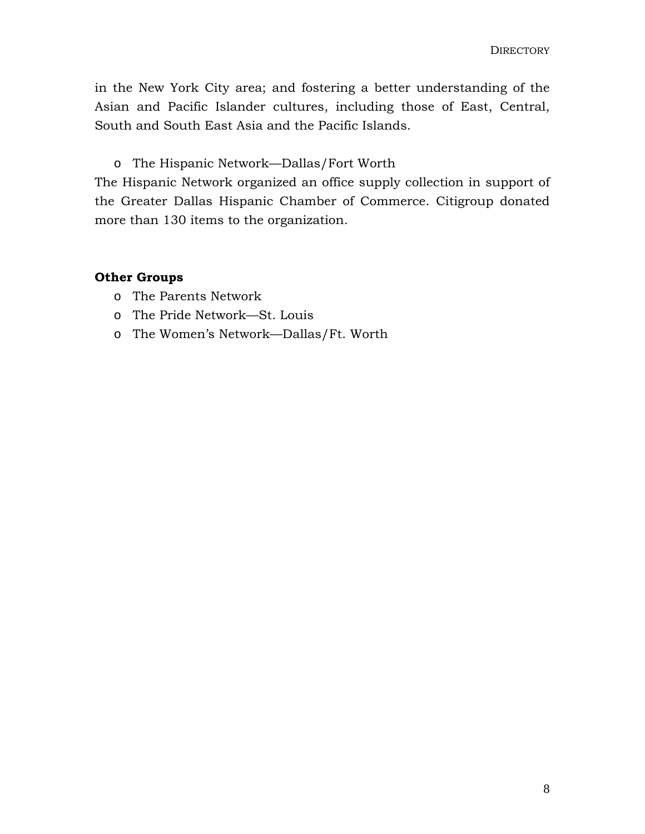in the New York City area; and fostering a better understanding of the Asian and Pacific Islander cultures, including those of East, Central, South and South East Asia and the Pacific Islands.

o The Hispanic Network—Dallas/Fort Worth

The Hispanic Network organized an office supply collection in support of the Greater Dallas Hispanic Chamber of Commerce. Citigroup donated more than 130 items to the organization.

## **Other Groups**

- o The Parents Network
- o The Pride Network—St. Louis
- o The Women's Network—Dallas/Ft. Worth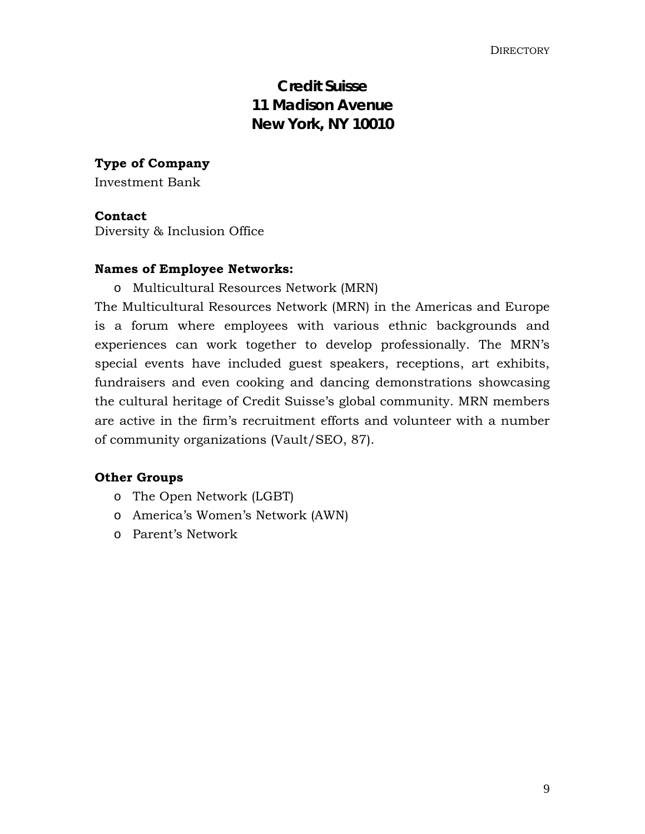## **Credit Suisse 11 Madison Avenue New York, NY 10010**

**Type of Company** 

Investment Bank

#### **Contact**

Diversity & Inclusion Office

## **Names of Employee Networks:**

o Multicultural Resources Network (MRN)

The Multicultural Resources Network (MRN) in the Americas and Europe is a forum where employees with various ethnic backgrounds and experiences can work together to develop professionally. The MRN's special events have included guest speakers, receptions, art exhibits, fundraisers and even cooking and dancing demonstrations showcasing the cultural heritage of Credit Suisse's global community. MRN members are active in the firm's recruitment efforts and volunteer with a number of community organizations (Vault/SEO, 87).

## **Other Groups**

- o The Open Network (LGBT)
- o America's Women's Network (AWN)
- o Parent's Network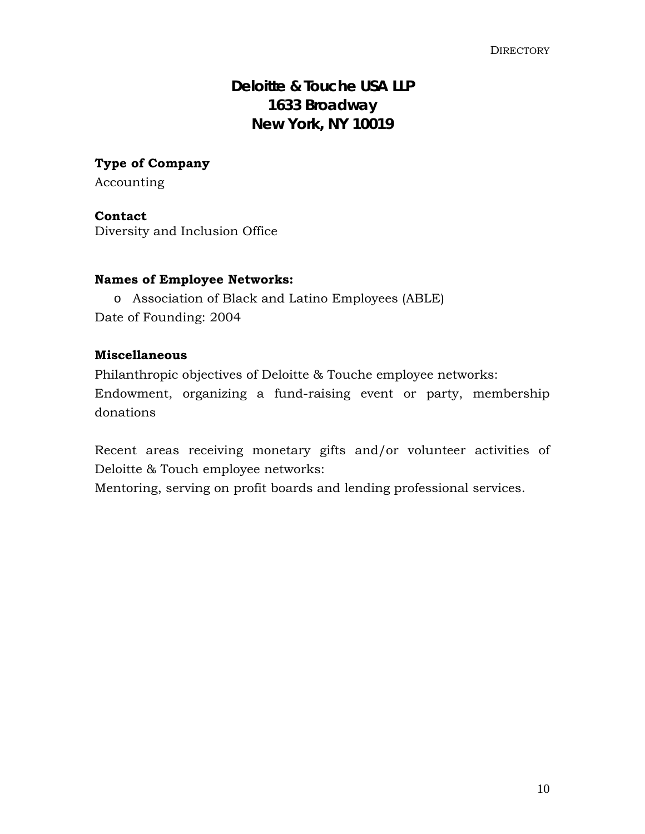## **Deloitte & Touche USA LLP 1633 Broadway New York, NY 10019**

**Type of Company**  Accounting

## **Contact**

Diversity and Inclusion Office

## **Names of Employee Networks:**

o Association of Black and Latino Employees (ABLE) Date of Founding: 2004

## **Miscellaneous**

Philanthropic objectives of Deloitte & Touche employee networks: Endowment, organizing a fund-raising event or party, membership donations

Recent areas receiving monetary gifts and/or volunteer activities of Deloitte & Touch employee networks:

Mentoring, serving on profit boards and lending professional services.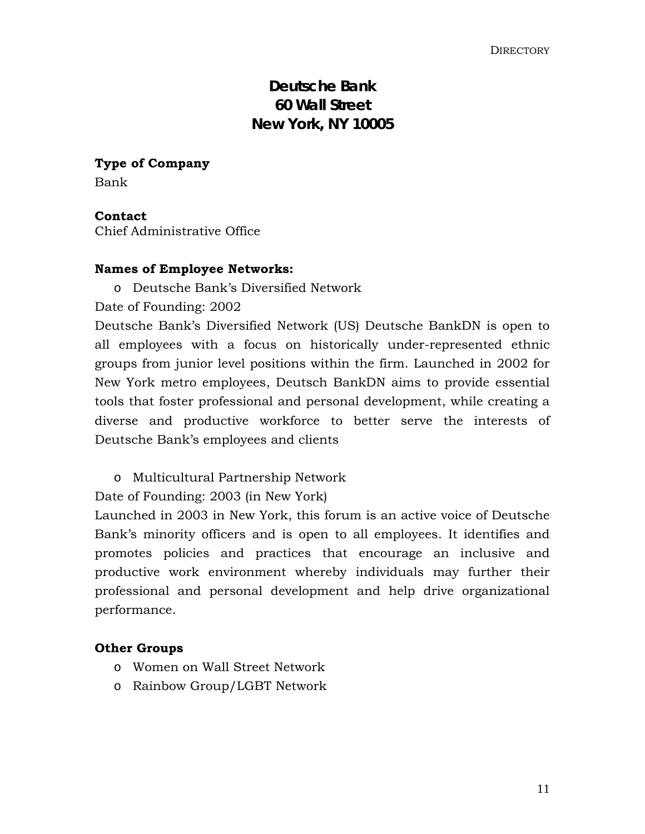## **Deutsche Bank 60 Wall Street New York, NY 10005**

**Type of Company**  Bank

**Contact**  Chief Administrative Office

## **Names of Employee Networks:**

o Deutsche Bank's Diversified Network

Date of Founding: 2002

Deutsche Bank's Diversified Network (US) Deutsche BankDN is open to all employees with a focus on historically under-represented ethnic groups from junior level positions within the firm. Launched in 2002 for New York metro employees, Deutsch BankDN aims to provide essential tools that foster professional and personal development, while creating a diverse and productive workforce to better serve the interests of Deutsche Bank's employees and clients

o Multicultural Partnership Network

Date of Founding: 2003 (in New York)

Launched in 2003 in New York, this forum is an active voice of Deutsche Bank's minority officers and is open to all employees. It identifies and promotes policies and practices that encourage an inclusive and productive work environment whereby individuals may further their professional and personal development and help drive organizational performance.

## **Other Groups**

- o Women on Wall Street Network
- o Rainbow Group/LGBT Network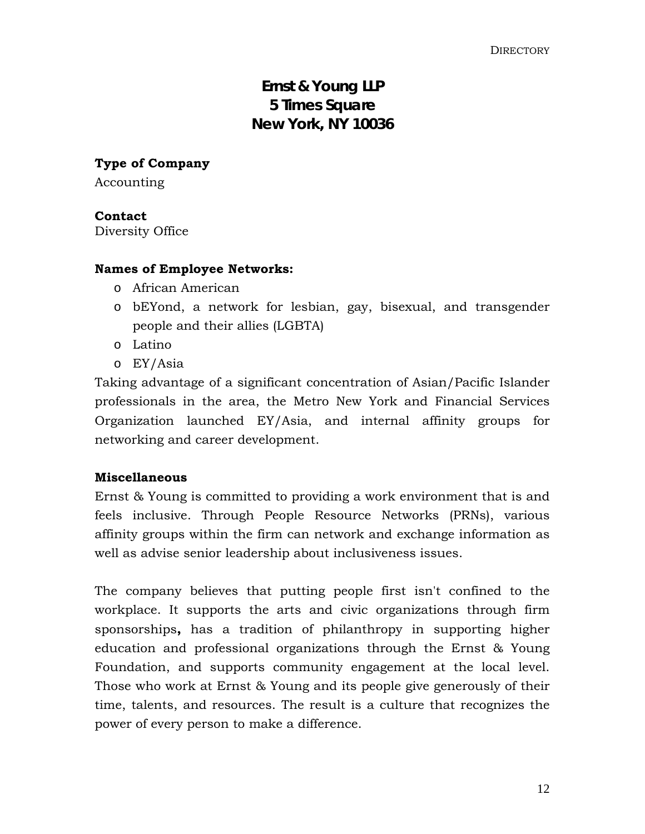## **Ernst & Young LLP 5 Times Square New York, NY 10036**

**Type of Company** 

Accounting

## **Contact**

Diversity Office

## **Names of Employee Networks:**

- o African American
- o bEYond, a network for lesbian, gay, bisexual, and transgender people and their allies (LGBTA)
- o Latino
- o EY/Asia

Taking advantage of a significant concentration of Asian/Pacific Islander professionals in the area, the Metro New York and Financial Services Organization launched EY/Asia, and internal affinity groups for networking and career development.

## **Miscellaneous**

Ernst & Young is committed to providing a work environment that is and feels inclusive. Through People Resource Networks (PRNs), various affinity groups within the firm can network and exchange information as well as advise senior leadership about inclusiveness issues.

The company believes that putting people first isn't confined to the workplace. It supports the arts and civic organizations through firm [sponsorships](http://www.ey.com/global/content.nsf/US/Sponsorships_-_Overview)**,** has a tradition of [philanthropy](http://www.ey.com/GLOBAL/content.nsf/US/About_Ernst_Young_-_Foundation) in supporting higher education and professional organizations through the Ernst & Young Foundation, and supports [community engagement](http://www.ey.com/global/content.nsf/US/About_Ernst_Young_-_Community_Engagement) at the local level. Those who work at Ernst & Young and its people give generously of their time, talents, and resources. The result is a culture that recognizes the power of every person to make a difference.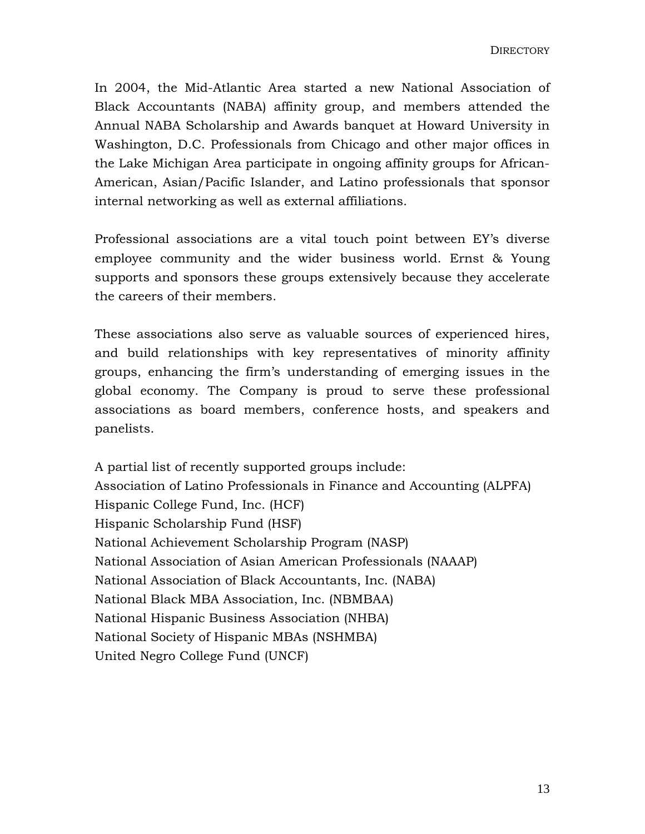In 2004, the Mid-Atlantic Area started a new National Association of Black Accountants (NABA) affinity group, and members attended the Annual NABA Scholarship and Awards banquet at Howard University in Washington, D.C. Professionals from Chicago and other major offices in the Lake Michigan Area participate in ongoing affinity groups for African-American, Asian/Pacific Islander, and Latino professionals that sponsor internal networking as well as external affiliations.

Professional associations are a vital touch point between EY's diverse employee community and the wider business world. Ernst & Young supports and sponsors these groups extensively because they accelerate the careers of their members.

These associations also serve as valuable sources of experienced hires, and build relationships with key representatives of minority affinity groups, enhancing the firm's understanding of emerging issues in the global economy. The Company is proud to serve these professional associations as board members, conference hosts, and speakers and panelists.

A partial list of recently supported groups include: Association of Latino Professionals in Finance and Accounting (ALPFA) Hispanic College Fund, Inc. (HCF) Hispanic Scholarship Fund (HSF) National Achievement Scholarship Program (NASP) National Association of Asian American Professionals (NAAAP) National Association of Black Accountants, Inc. (NABA) National Black MBA Association, Inc. (NBMBAA) National Hispanic Business Association (NHBA) National Society of Hispanic MBAs (NSHMBA) United Negro College Fund (UNCF)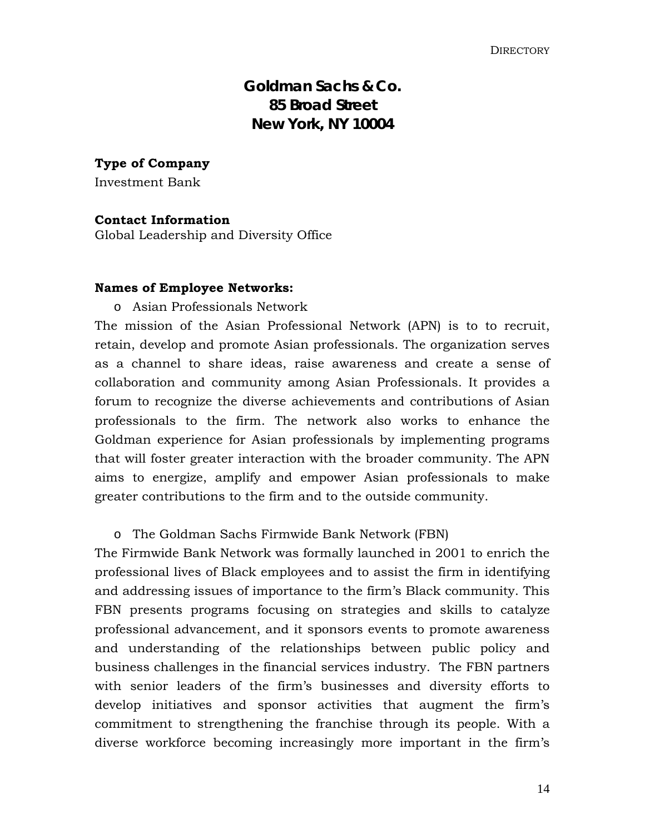## **Goldman Sachs & Co. 85 Broad Street New York, NY 10004**

**Type of Company** 

Investment Bank

#### **Contact Information**

Global Leadership and Diversity Office

#### **Names of Employee Networks:**

## o Asian Professionals Network

The mission of the Asian Professional Network (APN) is to to recruit, retain, develop and promote Asian professionals. The organization serves as a channel to share ideas, raise awareness and create a sense of collaboration and community among Asian Professionals. It provides a forum to recognize the diverse achievements and contributions of Asian professionals to the firm. The network also works to enhance the Goldman experience for Asian professionals by implementing programs that will foster greater interaction with the broader community. The APN aims to energize, amplify and empower Asian professionals to make greater contributions to the firm and to the outside community.

#### o The Goldman Sachs Firmwide Bank Network (FBN)

The Firmwide Bank Network was formally launched in 2001 to enrich the professional lives of Black employees and to assist the firm in identifying and addressing issues of importance to the firm's Black community. This FBN presents programs focusing on strategies and skills to catalyze professional advancement, and it sponsors events to promote awareness and understanding of the relationships between public policy and business challenges in the financial services industry. The FBN partners with senior leaders of the firm's businesses and diversity efforts to develop initiatives and sponsor activities that augment the firm's commitment to strengthening the franchise through its people. With a diverse workforce becoming increasingly more important in the firm's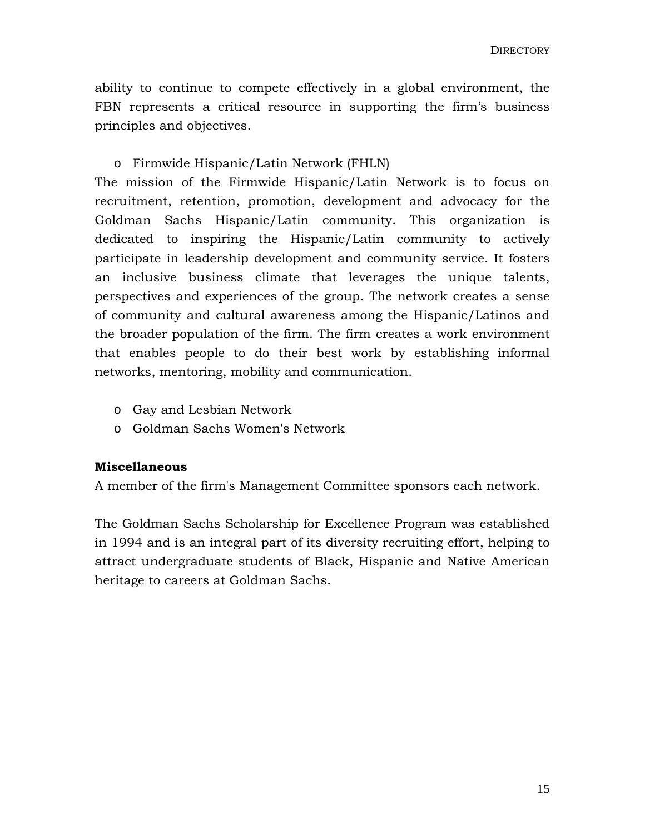ability to continue to compete effectively in a global environment, the FBN represents a critical resource in supporting the firm's business principles and objectives.

## o Firmwide Hispanic/Latin Network (FHLN)

The mission of the Firmwide Hispanic/Latin Network is to focus on recruitment, retention, promotion, development and advocacy for the Goldman Sachs Hispanic/Latin community. This organization is dedicated to inspiring the Hispanic/Latin community to actively participate in leadership development and community service. It fosters an inclusive business climate that leverages the unique talents, perspectives and experiences of the group. The network creates a sense of community and cultural awareness among the Hispanic/Latinos and the broader population of the firm. The firm creates a work environment that enables people to do their best work by establishing informal networks, mentoring, mobility and communication.

- o Gay and Lesbian Network
- o Goldman Sachs Women's Network

## **Miscellaneous**

A member of the firm's Management Committee sponsors each network.

The Goldman Sachs Scholarship for Excellence Program was established in 1994 and is an integral part of its diversity recruiting effort, helping to attract undergraduate students of Black, Hispanic and Native American heritage to careers at Goldman Sachs.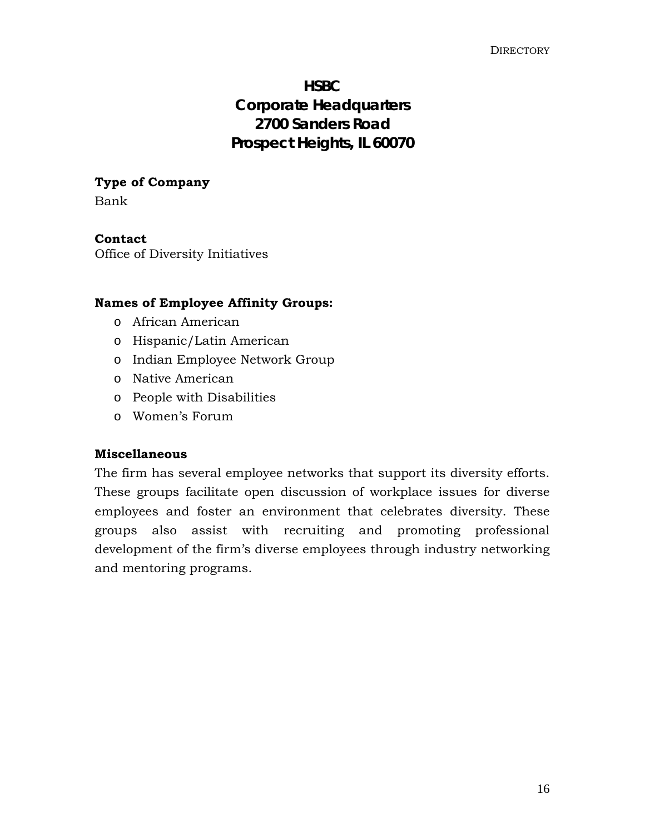## **HSBC Corporate Headquarters 2700 Sanders Road Prospect Heights, IL 60070**

## **Type of Company**

Bank

## **Contact**

Office of Diversity Initiatives

## **Names of Employee Affinity Groups:**

- o African American
- o Hispanic/Latin American
- o Indian Employee Network Group
- o Native American
- o People with Disabilities
- o Women's Forum

## **Miscellaneous**

The firm has several employee networks that support its diversity efforts. These groups facilitate open discussion of workplace issues for diverse employees and foster an environment that celebrates diversity. These groups also assist with recruiting and promoting professional development of the firm's diverse employees through industry networking and mentoring programs.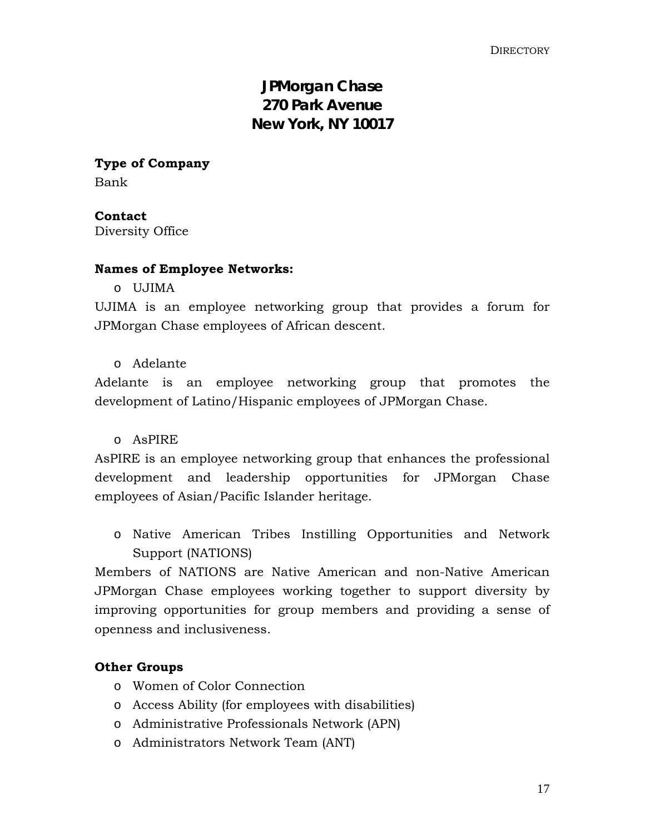## **JPMorgan Chase 270 Park Avenue New York, NY 10017**

**Type of Company**  Bank

**Contact**  Diversity Office

## **Names of Employee Networks:**

o UJIMA

UJIMA is an employee networking group that provides a forum for JPMorgan Chase employees of African descent.

o Adelante

Adelante is an employee networking group that promotes the development of Latino/Hispanic employees of JPMorgan Chase.

## o AsPIRE

AsPIRE is an employee networking group that enhances the professional development and leadership opportunities for JPMorgan Chase employees of Asian/Pacific Islander heritage.

o Native American Tribes Instilling Opportunities and Network Support (NATIONS)

Members of NATIONS are Native American and non-Native American JPMorgan Chase employees working together to support diversity by improving opportunities for group members and providing a sense of openness and inclusiveness.

## **Other Groups**

- o Women of Color Connection
- o Access Ability (for employees with disabilities)
- o Administrative Professionals Network (APN)
- o Administrators Network Team (ANT)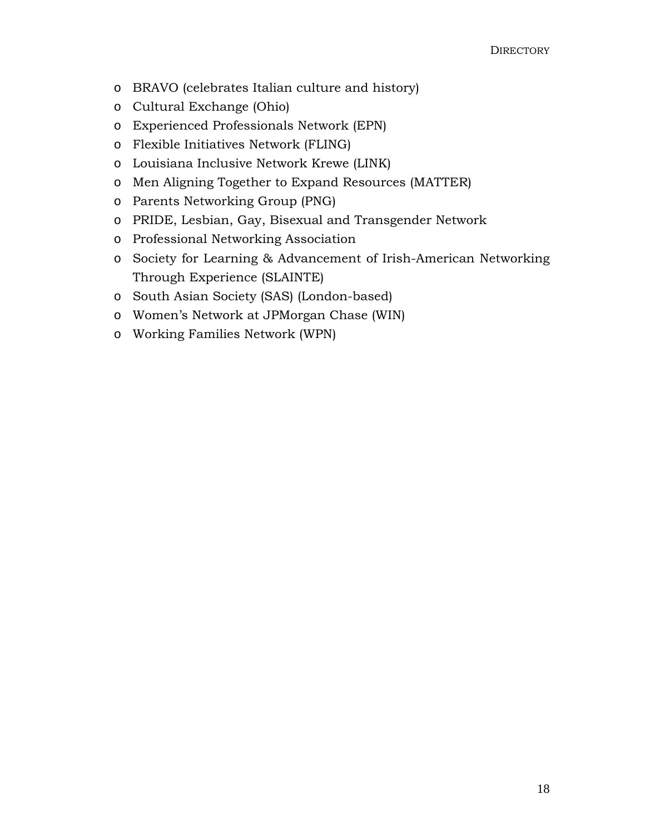- o BRAVO (celebrates Italian culture and history)
- o Cultural Exchange (Ohio)
- o Experienced Professionals Network (EPN)
- o Flexible Initiatives Network (FLING)
- o Louisiana Inclusive Network Krewe (LINK)
- o Men Aligning Together to Expand Resources (MATTER)
- o Parents Networking Group (PNG)
- o PRIDE, Lesbian, Gay, Bisexual and Transgender Network
- o Professional Networking Association
- o Society for Learning & Advancement of Irish-American Networking Through Experience (SLAINTE)
- o South Asian Society (SAS) (London-based)
- o Women's Network at JPMorgan Chase (WIN)
- o Working Families Network (WPN)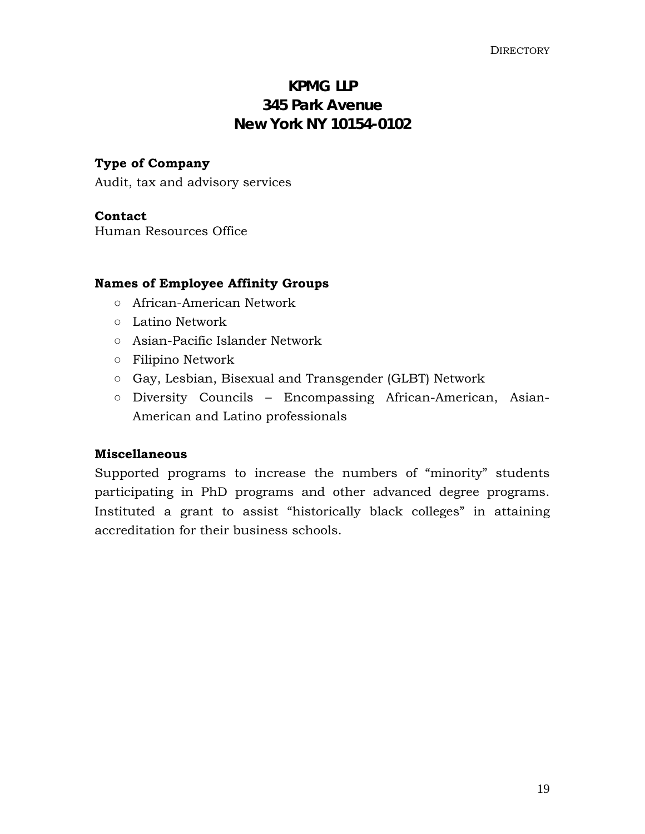## **KPMG LLP 345 Park Avenue New York NY 10154-0102**

## **Type of Company**

Audit, tax and advisory services

## **Contact**

Human Resources Office

## **Names of Employee Affinity Groups**

- African-American Network
- Latino Network
- Asian-Pacific Islander Network
- Filipino Network
- Gay, Lesbian, Bisexual and Transgender (GLBT) Network
- Diversity Councils Encompassing African-American, Asian-American and Latino professionals

## **Miscellaneous**

Supported programs to increase the numbers of "minority" students participating in PhD programs and other advanced degree programs. Instituted a grant to assist "historically black colleges" in attaining accreditation for their business schools.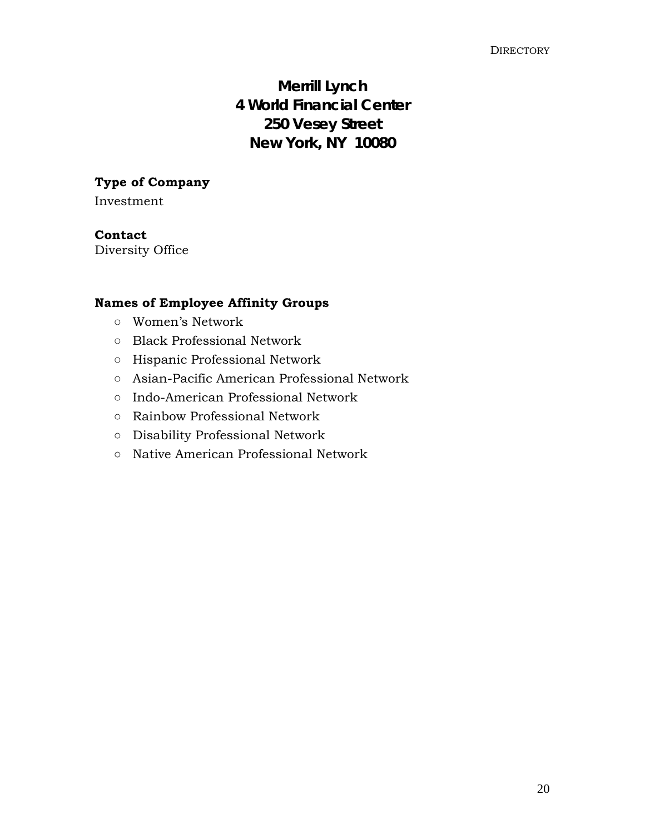## **Merrill Lynch 4 World Financial Center 250 Vesey Street New York, NY 10080**

## **Type of Company**

Investment

## **Contact**

Diversity Office

## **Names of Employee Affinity Groups**

- Women's Network
- Black Professional Network
- Hispanic Professional Network
- Asian-Pacific American Professional Network
- Indo-American Professional Network
- Rainbow Professional Network
- Disability Professional Network
- Native American Professional Network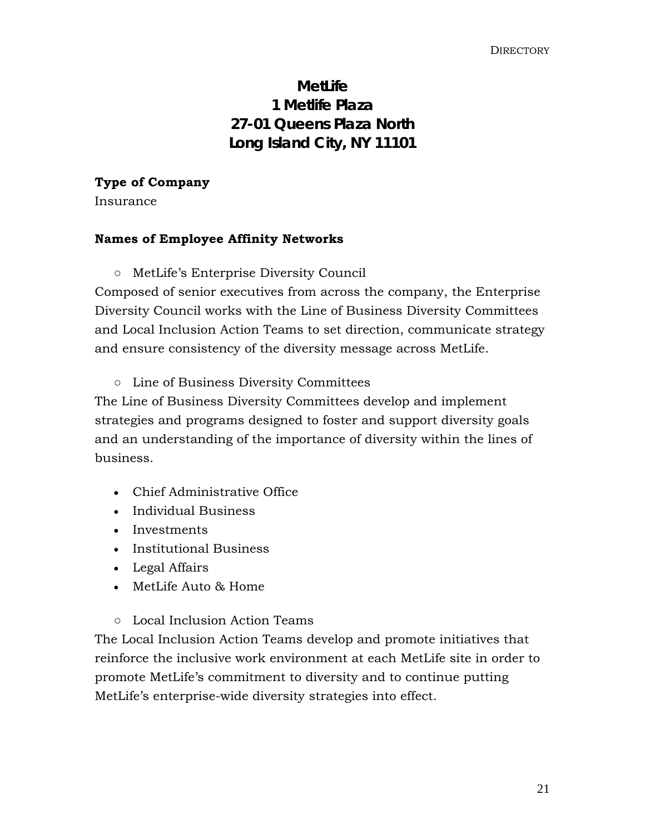## **MetLife 1 Metlife Plaza 27-01 Queens Plaza North Long Island City, NY 11101**

## **Type of Company**

Insurance

## **Names of Employee Affinity Networks**

## ○ MetLife's Enterprise Diversity Council

Composed of senior executives from across the company, the Enterprise Diversity Council works with the Line of Business Diversity Committees and Local Inclusion Action Teams to set direction, communicate strategy and ensure consistency of the diversity message across MetLife.

## ○ Line of Business Diversity Committees

The Line of Business Diversity Committees develop and implement strategies and programs designed to foster and support diversity goals and an understanding of the importance of diversity within the lines of business.

- Chief Administrative Office
- Individual Business
- Investments
- Institutional Business
- Legal Affairs
- MetLife Auto & Home
- Local Inclusion Action Teams

The Local Inclusion Action Teams develop and promote initiatives that reinforce the inclusive work environment at each MetLife site in order to promote MetLife's commitment to diversity and to continue putting MetLife's enterprise-wide diversity strategies into effect.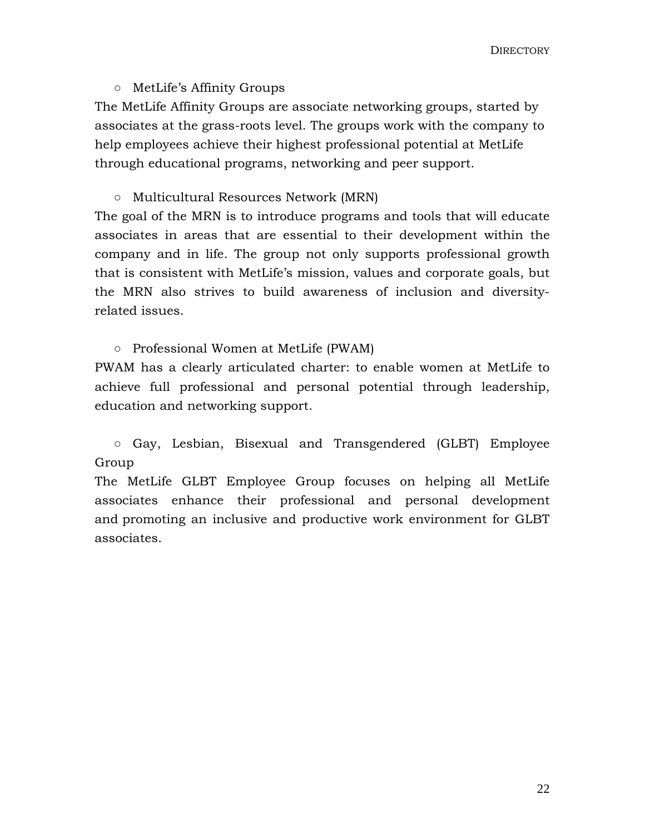## ○ MetLife's Affinity Groups

The MetLife Affinity Groups are associate networking groups, started by associates at the grass-roots level. The groups work with the company to help employees achieve their highest professional potential at MetLife through educational programs, networking and peer support.

## ○ Multicultural Resources Network (MRN)

The goal of the MRN is to introduce programs and tools that will educate associates in areas that are essential to their development within the company and in life. The group not only supports professional growth that is consistent with MetLife's mission, values and corporate goals, but the MRN also strives to build awareness of inclusion and diversityrelated issues.

## ○ Professional Women at MetLife (PWAM)

PWAM has a clearly articulated charter: to enable women at MetLife to achieve full professional and personal potential through leadership, education and networking support.

○ Gay, Lesbian, Bisexual and Transgendered (GLBT) Employee Group

The MetLife GLBT Employee Group focuses on helping all MetLife associates enhance their professional and personal development and promoting an inclusive and productive work environment for GLBT associates.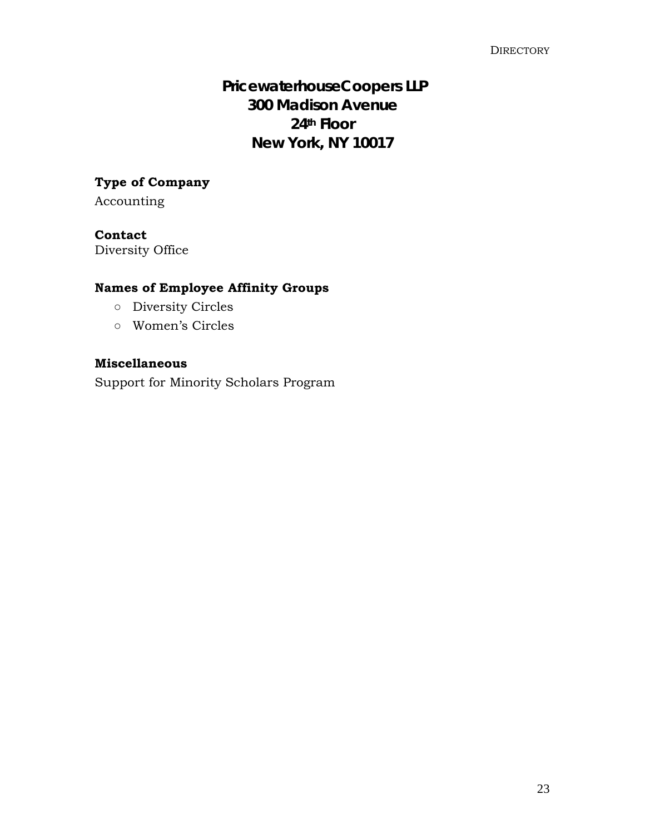## **PricewaterhouseCoopers LLP 300 Madison Avenue 24th Floor New York, NY 10017**

## **Type of Company**

Accounting

## **Contact**

Diversity Office

## **Names of Employee Affinity Groups**

- Diversity Circles
- Women's Circles

## **Miscellaneous**

Support for Minority Scholars Program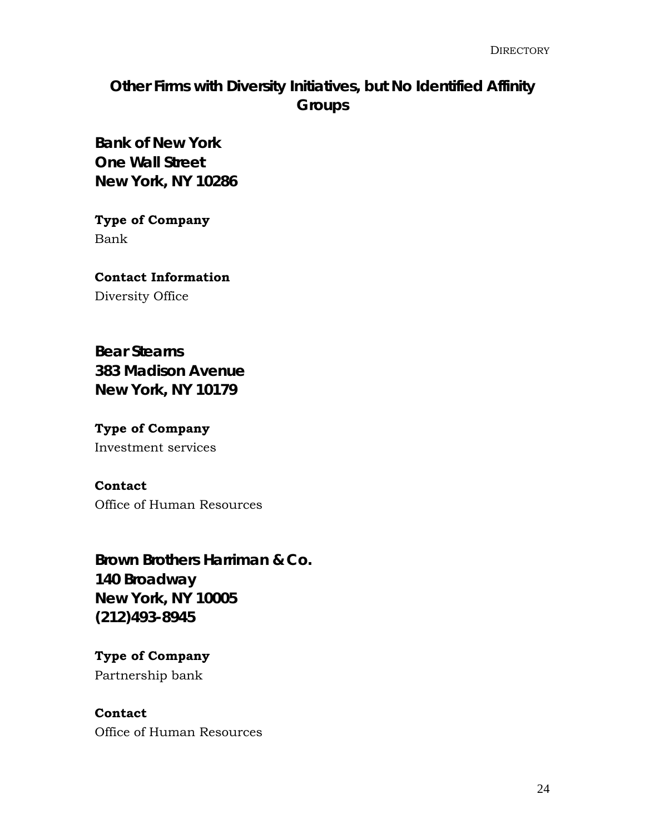## **Other Firms with Diversity Initiatives, but No Identified Affinity Groups**

**Bank of New York One Wall Street New York, NY 10286** 

**Type of Company**  Bank

**Contact Information**  Diversity Office

**Bear Stearns 383 Madison Avenue New York, NY 10179** 

**Type of Company**  Investment services

**Contact**  Office of Human Resources

**Brown Brothers Harriman & Co. 140 Broadway New York, NY 10005 (212)493-8945** 

**Type of Company**  Partnership bank

**Contact**  Office of Human Resources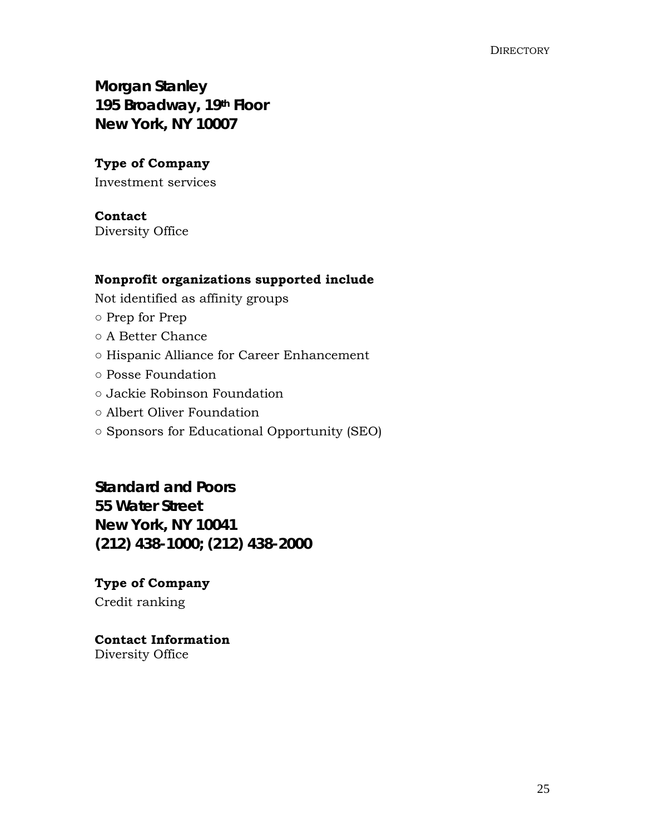**Morgan Stanley 195 Broadway, 19th Floor New York, NY 10007**

## **Type of Company**

Investment services

## **Contact**

Diversity Office

## **Nonprofit organizations supported include**

Not identified as affinity groups

- Prep for Prep
- A Better Chance
- Hispanic Alliance for Career Enhancement
- Posse Foundation
- Jackie Robinson Foundation
- Albert Oliver Foundation
- Sponsors for Educational Opportunity (SEO)

**Standard and Poors 55 Water Street New York, NY 10041 (212) 438-1000; (212) 438-2000** 

**Type of Company** Credit ranking

## **Contact Information**  Diversity Office

25